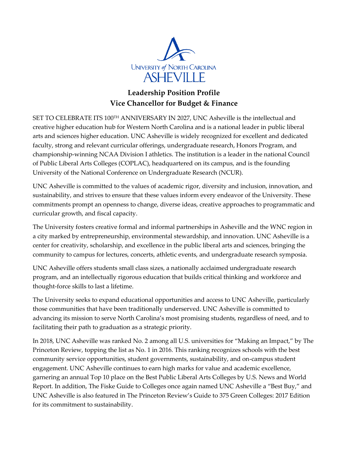

# **Leadership Position Profile Vice Chancellor for Budget & Finance**

SET TO CELEBRATE ITS 100TH ANNIVERSARY IN 2027, UNC Asheville is the intellectual and creative higher education hub for Western North Carolina and is a national leader in public liberal arts and sciences higher education. UNC Asheville is widely recognized for excellent and dedicated faculty, strong and relevant curricular offerings, undergraduate research, Honors Program, and championship-winning NCAA Division I athletics. The institution is a leader in the national Council of Public Liberal Arts Colleges (COPLAC), headquartered on its campus, and is the founding University of the National Conference on Undergraduate Research (NCUR).

UNC Asheville is committed to the values of academic rigor, diversity and inclusion, innovation, and sustainability, and strives to ensure that these values inform every endeavor of the University. These commitments prompt an openness to change, diverse ideas, creative approaches to programmatic and curricular growth, and fiscal capacity.

The University fosters creative formal and informal partnerships in Asheville and the WNC region in a city marked by entrepreneurship, environmental stewardship, and innovation. UNC Asheville is a center for creativity, scholarship, and excellence in the public liberal arts and sciences, bringing the community to campus for lectures, concerts, athletic events, and undergraduate research symposia.

UNC Asheville offers students small class sizes, a nationally acclaimed undergraduate research program, and an intellectually rigorous education that builds critical thinking and workforce and thought-force skills to last a lifetime.

The University seeks to expand educational opportunities and access to UNC Asheville, particularly those communities that have been traditionally underserved. UNC Asheville is committed to advancing its mission to serve North Carolina's most promising students, regardless of need, and to facilitating their path to graduation as a strategic priority.

In 2018, UNC Asheville was ranked No. 2 among all U.S. universities for "Making an Impact," by The Princeton Review, topping the list as No. 1 in 2016. This ranking recognizes schools with the best community service opportunities, student governments, sustainability, and on-campus student engagement. UNC Asheville continues to earn high marks for value and academic excellence, garnering an annual Top 10 place on the Best Public Liberal Arts Colleges by U.S. News and World Report. In addition, The Fiske Guide to Colleges once again named UNC Asheville a "Best Buy," and UNC Asheville is also featured in The Princeton Review's Guide to 375 Green Colleges: 2017 Edition for its commitment to sustainability.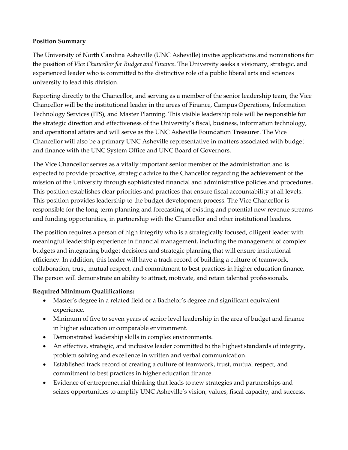#### **Position Summary**

The University of North Carolina Asheville (UNC Asheville) invites applications and nominations for the position of *Vice Chancellor for Budget and Finance*. The University seeks a visionary, strategic, and experienced leader who is committed to the distinctive role of a public liberal arts and sciences university to lead this division.

Reporting directly to the Chancellor, and serving as a member of the senior leadership team, the Vice Chancellor will be the institutional leader in the areas of Finance, Campus Operations, Information Technology Services (ITS), and Master Planning. This visible leadership role will be responsible for the strategic direction and effectiveness of the University's fiscal, business, information technology, and operational affairs and will serve as the UNC Asheville Foundation Treasurer. The Vice Chancellor will also be a primary UNC Asheville representative in matters associated with budget and finance with the UNC System Office and UNC Board of Governors.

The Vice Chancellor serves as a vitally important senior member of the administration and is expected to provide proactive, strategic advice to the Chancellor regarding the achievement of the mission of the University through sophisticated financial and administrative policies and procedures. This position establishes clear priorities and practices that ensure fiscal accountability at all levels. This position provides leadership to the budget development process. The Vice Chancellor is responsible for the long-term planning and forecasting of existing and potential new revenue streams and funding opportunities, in partnership with the Chancellor and other institutional leaders.

The position requires a person of high integrity who is a strategically focused, diligent leader with meaningful leadership experience in financial management, including the management of complex budgets and integrating budget decisions and strategic planning that will ensure institutional efficiency. In addition, this leader will have a track record of building a culture of teamwork, collaboration, trust, mutual respect, and commitment to best practices in higher education finance. The person will demonstrate an ability to attract, motivate, and retain talented professionals.

### **Required Minimum Qualifications:**

- Master's degree in a related field or a Bachelor's degree and significant equivalent experience.
- Minimum of five to seven years of senior level leadership in the area of budget and finance in higher education or comparable environment.
- Demonstrated leadership skills in complex environments.
- An effective, strategic, and inclusive leader committed to the highest standards of integrity, problem solving and excellence in written and verbal communication.
- Established track record of creating a culture of teamwork, trust, mutual respect, and commitment to best practices in higher education finance.
- Evidence of entrepreneurial thinking that leads to new strategies and partnerships and seizes opportunities to amplify UNC Asheville's vision, values, fiscal capacity, and success.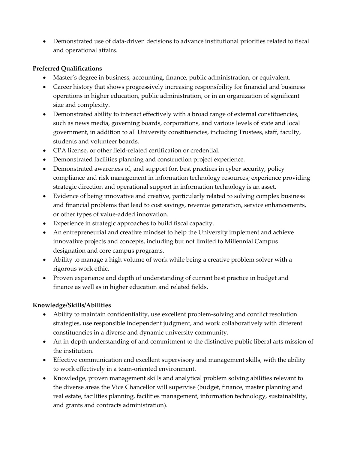• Demonstrated use of data-driven decisions to advance institutional priorities related to fiscal and operational affairs.

## **Preferred Qualifications**

- Master's degree in business, accounting, finance, public administration, or equivalent.
- Career history that shows progressively increasing responsibility for financial and business operations in higher education, public administration, or in an organization of significant size and complexity.
- Demonstrated ability to interact effectively with a broad range of external constituencies, such as news media, governing boards, corporations, and various levels of state and local government, in addition to all University constituencies, including Trustees, staff, faculty, students and volunteer boards.
- CPA license, or other field-related certification or credential.
- Demonstrated facilities planning and construction project experience.
- Demonstrated awareness of, and support for, best practices in cyber security, policy compliance and risk management in information technology resources; experience providing strategic direction and operational support in information technology is an asset.
- Evidence of being innovative and creative, particularly related to solving complex business and financial problems that lead to cost savings, revenue generation, service enhancements, or other types of value-added innovation.
- Experience in strategic approaches to build fiscal capacity.
- An entrepreneurial and creative mindset to help the University implement and achieve innovative projects and concepts, including but not limited to Millennial Campus designation and core campus programs.
- Ability to manage a high volume of work while being a creative problem solver with a rigorous work ethic.
- Proven experience and depth of understanding of current best practice in budget and finance as well as in higher education and related fields.

## **Knowledge/Skills/Abilities**

- Ability to maintain confidentiality, use excellent problem-solving and conflict resolution strategies, use responsible independent judgment, and work collaboratively with different constituencies in a diverse and dynamic university community.
- An in-depth understanding of and commitment to the distinctive public liberal arts mission of the institution.
- Effective communication and excellent supervisory and management skills, with the ability to work effectively in a team-oriented environment.
- Knowledge, proven management skills and analytical problem solving abilities relevant to the diverse areas the Vice Chancellor will supervise (budget, finance, master planning and real estate, facilities planning, facilities management, information technology, sustainability, and grants and contracts administration).